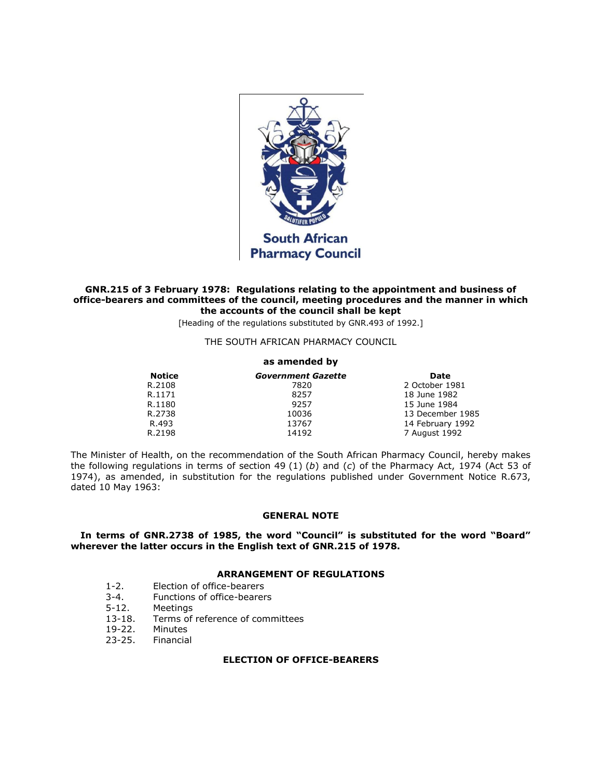

## **GNR.215 of 3 February 1978: Regulations relating to the appointment and business of office-bearers and committees of the council, meeting procedures and the manner in which the accounts of the council shall be kept**

[Heading of the regulations substituted by GNR.493 of 1992.]

#### THE SOUTH AFRICAN PHARMACY COUNCIL

## **as amended by**

| <b>Notice</b> | <b>Government Gazette</b> | Date             |
|---------------|---------------------------|------------------|
| R.2108        | 7820                      | 2 October 1981   |
| R.1171        | 8257                      | 18 June 1982     |
| R.1180        | 9257                      | 15 June 1984     |
| R.2738        | 10036                     | 13 December 1985 |
| R.493         | 13767                     | 14 February 1992 |
| R.2198        | 14192                     | 7 August 1992    |

The Minister of Health, on the recommendation of the South African Pharmacy Council, hereby makes the following regulations in terms of [section 49](http://www.mylexisnexis.co.za/nxt/gateway.dll/jilc/kilc/xjsg/zmsg/0msg/g44h#3) (1) (*b*) and [\(](http://www.mylexisnexis.co.za/nxt/gateway.dll/jilc/kilc/xjsg/zmsg/0msg/g44h#4)*c*) of the Pharmacy Act, 1974 (Act [53 of](http://www.mylexisnexis.co.za/nxt/gateway.dll/jilc/kilc/xjsg/zmsg/0msg#0)  [1974\)](http://www.mylexisnexis.co.za/nxt/gateway.dll/jilc/kilc/xjsg/zmsg/0msg#0), as amended, in substitution for the regulations published under Government Notice R.673, dated 10 May 1963:

### **GENERAL NOTE**

**In terms of GNR.2738 of 1985, the word "Council" is substituted for the word "Board" wherever the latter occurs in the English text of [GNR.215 of 1978.](http://www.mylexisnexis.co.za/nxt/gateway.dll/jilc/kilc/xjsg/zmsg/cnsg/t84h/184h?f=templates$fn=document-frame.htm$3.0$q=$x=$nc=6037#0)**

# **ARRANGEMENT OF REGULATIONS**

- [1-](http://www.mylexisnexis.co.za/nxt/gateway.dll/jilc/kilc/xjsg/zmsg/cnsg/t84h/184h/284h#0)[2.](http://www.mylexisnexis.co.za/nxt/gateway.dll/jilc/kilc/xjsg/zmsg/cnsg/t84h/184h/384h#0) Election of office-bearers
- [3-](http://www.mylexisnexis.co.za/nxt/gateway.dll/jilc/kilc/xjsg/zmsg/cnsg/t84h/184h/484h#0)[4.](http://www.mylexisnexis.co.za/nxt/gateway.dll/jilc/kilc/xjsg/zmsg/cnsg/t84h/184h/584h#0) Functions of office-bearers
- [5-](http://www.mylexisnexis.co.za/nxt/gateway.dll/jilc/kilc/xjsg/zmsg/cnsg/t84h/184h/684h#0)[12.](http://www.mylexisnexis.co.za/nxt/gateway.dll/jilc/kilc/xjsg/zmsg/cnsg/t84h/184h/d94h#0) Meetings
- Terms of reference of committees
- [19](http://www.mylexisnexis.co.za/nxt/gateway.dll/jilc/kilc/xjsg/zmsg/cnsg/t84h/184h/k94h#0)[-22.](http://www.mylexisnexis.co.za/nxt/gateway.dll/jilc/kilc/xjsg/zmsg/cnsg/t84h/184h/n94h#0) Minutes
- [23](http://www.mylexisnexis.co.za/nxt/gateway.dll/jilc/kilc/xjsg/zmsg/cnsg/t84h/184h/o94h#0)[-25.](http://www.mylexisnexis.co.za/nxt/gateway.dll/jilc/kilc/xjsg/zmsg/cnsg/t84h/184h/q94h#0) Financial

# **ELECTION OF OFFICE-BEARERS**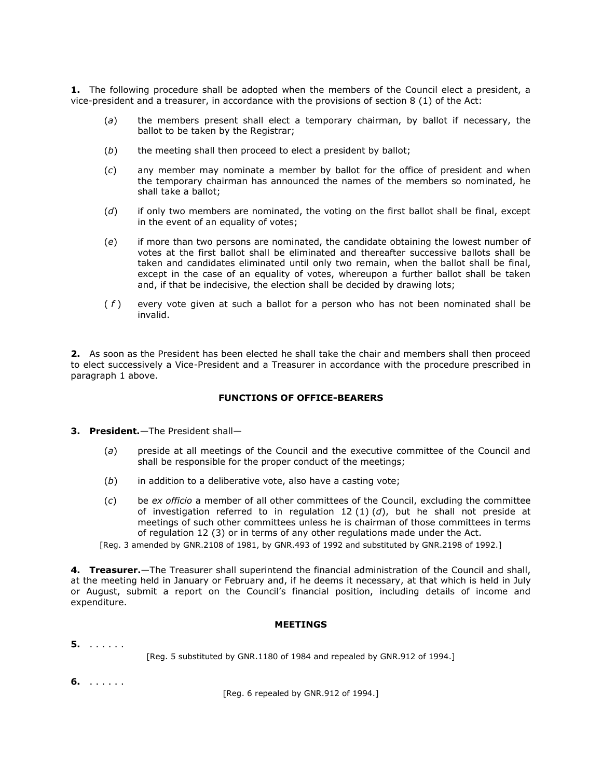**1.** The following procedure shall be adopted when the members of the Council elect a president, a vice-president and a treasurer, in accordance with the provisions of section 8 (1) of the Act:

- (*a*) the members present shall elect a temporary chairman, by ballot if necessary, the ballot to be taken by the Registrar;
- (*b*) the meeting shall then proceed to elect a president by ballot;
- (*c*) any member may nominate a member by ballot for the office of president and when the temporary chairman has announced the names of the members so nominated, he shall take a ballot;
- (*d*) if only two members are nominated, the voting on the first ballot shall be final, except in the event of an equality of votes;
- (*e*) if more than two persons are nominated, the candidate obtaining the lowest number of votes at the first ballot shall be eliminated and thereafter successive ballots shall be taken and candidates eliminated until only two remain, when the ballot shall be final, except in the case of an equality of votes, whereupon a further ballot shall be taken and, if that be indecisive, the election shall be decided by drawing lots;
- ( *f* ) every vote given at such a ballot for a person who has not been nominated shall be invalid.

**2.** As soon as the President has been elected he shall take the chair and members shall then proceed to elect successively a Vice-President and a Treasurer in accordance with the procedure prescribed in paragraph 1 above.

# **FUNCTIONS OF OFFICE-BEARERS**

- **3. President.**—The President shall—
	- (*a*) preside at all meetings of the Council and the executive committee of the Council and shall be responsible for the proper conduct of the meetings;
	- (*b*) in addition to a deliberative vote, also have a casting vote;
	- (*c*) be *ex officio* a member of all other committees of the Council, excluding the committee of investigation referred to in [regulation 12](http://www.mylexisnexis.co.za/nxt/gateway.dll/jilc/kilc/xjsg/zmsg/cnsg/t84h/184h/d94h#5) (1) (*d*), but he shall not preside at meetings of such other committees unless he is chairman of those committees in terms of [regulation 12](http://www.mylexisnexis.co.za/nxt/gateway.dll/jilc/kilc/xjsg/zmsg/cnsg/t84h/184h/d94h#7) (3) or in terms of any other regulations made under the Act.

[\[Reg. 3](http://www.mylexisnexis.co.za/nxt/gateway.dll/jilc/kilc/xjsg/zmsg/cnsg/t84h/184h/484h?f=templates$fn=document-frame.htm$3.0$q=$x=$nc=8387#0) amended by GNR.2108 of 1981, by GNR.493 of 1992 and substituted by GNR.2198 of 1992.]

**4. Treasurer.**—The Treasurer shall superintend the financial administration of the Council and shall, at the meeting held in January or February and, if he deems it necessary, at that which is held in July or August, submit a report on the Council's financial position, including details of income and expenditure.

### **MEETINGS**

**5.** . . . . . .

[\[Reg. 5](http://www.mylexisnexis.co.za/nxt/gateway.dll/jilc/kilc/xjsg/zmsg/cnsg/t84h/184h/684h?f=templates$fn=document-frame.htm$3.0$q=$x=$nc=5631#0) substituted by GNR.1180 of 1984 and repealed by GNR.912 of 1994.]

**6.** . . . . . .

[\[Reg. 6](http://www.mylexisnexis.co.za/nxt/gateway.dll/jilc/kilc/xjsg/zmsg/cnsg/t84h/184h/784h?f=templates$fn=document-frame.htm$3.0$q=$x=$nc=9947#0) repealed by GNR.912 of 1994.]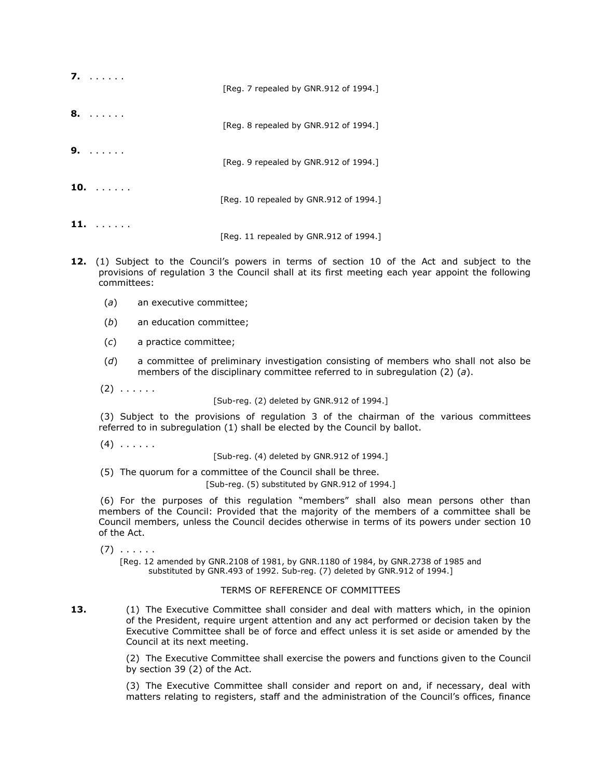**7.** . . . . . . [\[Reg. 7](http://www.mylexisnexis.co.za/nxt/gateway.dll/jilc/kilc/xjsg/zmsg/cnsg/t84h/184h/884h?f=templates$fn=document-frame.htm$3.0$q=$x=$nc=5488#0) repealed by GNR.912 of 1994.] **8.** . . . . . . [\[Reg. 8](http://www.mylexisnexis.co.za/nxt/gateway.dll/jilc/kilc/xjsg/zmsg/cnsg/t84h/184h/984h?f=templates$fn=document-frame.htm$3.0$q=$x=$nc=6655#0) repealed by GNR.912 of 1994.] **9.** . . . . . . [\[Reg. 9](http://www.mylexisnexis.co.za/nxt/gateway.dll/jilc/kilc/xjsg/zmsg/cnsg/t84h/184h/a94h?f=templates$fn=document-frame.htm$3.0$q=$x=$nc=8960#0) repealed by GNR.912 of 1994.] **10.** . . . . . . [\[Reg. 10](http://www.mylexisnexis.co.za/nxt/gateway.dll/jilc/kilc/xjsg/zmsg/cnsg/t84h/184h/b94h?f=templates$fn=document-frame.htm$3.0$q=$x=$nc=9925#0) repealed by GNR.912 of 1994.] **11.** . . . . . . [\[Reg. 11](http://www.mylexisnexis.co.za/nxt/gateway.dll/jilc/kilc/xjsg/zmsg/cnsg/t84h/184h/c94h?f=templates$fn=document-frame.htm$3.0$q=$x=$nc=3755#0) repealed by GNR.912 of 1994.]

- **12.** (1) Subject to the Council's powers in terms of [section 10](http://www.mylexisnexis.co.za/nxt/gateway.dll/jilc/kilc/xjsg/zmsg/0msg/y14h#0) of the Act and subject to the provisions of [regulation 3](http://www.mylexisnexis.co.za/nxt/gateway.dll/jilc/kilc/xjsg/zmsg/cnsg/t84h/184h/484h#0) the Council shall at its first meeting each year appoint the following committees:
	- (*a*) an executive committee;
	- (*b*) an education committee;
	- (*c*) a practice committee;
	- (*d*) a committee of preliminary investigation consisting of members who shall not also be members of the disciplinary committee referred to in subregulation (2) (*a*).
	- $(2) \ldots \ldots$

[\[Sub-reg. \(2\)](http://www.mylexisnexis.co.za/nxt/gateway.dll/jilc/kilc/xjsg/zmsg/cnsg/t84h/184h/d94h?f=templates$fn=document-frame.htm$3.0$q=$x=$nc=988#6) deleted by GNR.912 of 1994.]

(3) Subject to the provisions of [regulation 3](http://www.mylexisnexis.co.za/nxt/gateway.dll/jilc/kilc/xjsg/zmsg/cnsg/t84h/184h/484h#0) of the chairman of the various committees referred to in [subregulation \(1\)](http://www.mylexisnexis.co.za/nxt/gateway.dll/jilc/kilc/xjsg/zmsg/cnsg/t84h/184h/d94h?f=templates$fn=document-frame.htm$3.0$q=$x=$nc=988#1) shall be elected by the Council by ballot.

 $(4)$  . . . . . .

[\[Sub-reg. \(4\)](http://www.mylexisnexis.co.za/nxt/gateway.dll/jilc/kilc/xjsg/zmsg/cnsg/t84h/184h/d94h?f=templates$fn=document-frame.htm$3.0$q=$x=$nc=988#8) deleted by GNR.912 of 1994.]

(5) The quorum for a committee of the Council shall be three.

[\[Sub-reg. \(5\)](http://www.mylexisnexis.co.za/nxt/gateway.dll/jilc/kilc/xjsg/zmsg/cnsg/t84h/184h/d94h?f=templates$fn=document-frame.htm$3.0$q=$x=$nc=988#9) substituted by GNR.912 of 1994.]

(6) For the purposes of this regulation "members" shall also mean persons other than members of the Council: Provided that the majority of the members of a committee shall be Council members, unless the Council decides otherwise in terms of its powers under [section 10](http://www.mylexisnexis.co.za/nxt/gateway.dll/jilc/kilc/xjsg/zmsg/0msg/y14h#0) of the Act.

 $(7)$  . . . . . .

[\[Reg. 12](http://www.mylexisnexis.co.za/nxt/gateway.dll/jilc/kilc/xjsg/zmsg/cnsg/t84h/184h/d94h?f=templates$fn=document-frame.htm$3.0$q=$x=$nc=988#0) amended by GNR.2108 of 1981, by GNR.1180 of 1984, by GNR.2738 of 1985 and substituted by GNR.493 of 1992. [Sub-reg. \(7\)](http://www.mylexisnexis.co.za/nxt/gateway.dll/jilc/kilc/xjsg/zmsg/cnsg/t84h/184h/d94h?f=templates$fn=document-frame.htm$3.0$q=$x=$nc=988#b) deleted by GNR.912 of 1994.]

## TERMS OF REFERENCE OF COMMITTEES

**13.** (1) The Executive Committee shall consider and deal with matters which, in the opinion of the President, require urgent attention and any act performed or decision taken by the Executive Committee shall be of force and effect unless it is set aside or amended by the Council at its next meeting.

> (2) The Executive Committee shall exercise the powers and functions given to the Council by [section 39](http://www.mylexisnexis.co.za/nxt/gateway.dll/jilc/kilc/xjsg/zmsg/0msg/s34h#2) (2) of the Act.

> (3) The Executive Committee shall consider and report on and, if necessary, deal with matters relating to registers, staff and the administration of the Council's offices, finance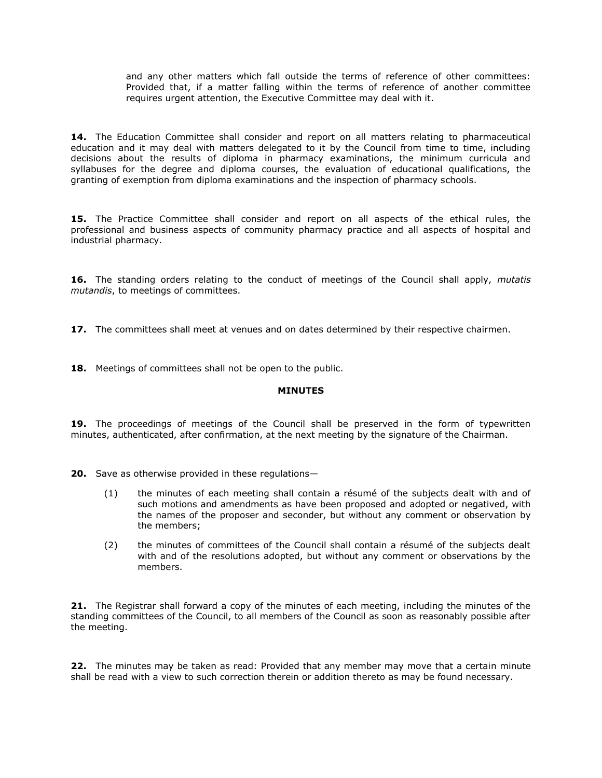and any other matters which fall outside the terms of reference of other committees: Provided that, if a matter falling within the terms of reference of another committee requires urgent attention, the Executive Committee may deal with it.

**14.** The Education Committee shall consider and report on all matters relating to pharmaceutical education and it may deal with matters delegated to it by the Council from time to time, including decisions about the results of diploma in pharmacy examinations, the minimum curricula and syllabuses for the degree and diploma courses, the evaluation of educational qualifications, the granting of exemption from diploma examinations and the inspection of pharmacy schools.

**15.** The Practice Committee shall consider and report on all aspects of the ethical rules, the professional and business aspects of community pharmacy practice and all aspects of hospital and industrial pharmacy.

**16.** The standing orders relating to the conduct of meetings of the Council shall apply, *mutatis mutandis*, to meetings of committees.

**17.** The committees shall meet at venues and on dates determined by their respective chairmen.

18. Meetings of committees shall not be open to the public.

# **MINUTES**

19. The proceedings of meetings of the Council shall be preserved in the form of typewritten minutes, authenticated, after confirmation, at the next meeting by the signature of the Chairman.

**20.** Save as otherwise provided in these regulations—

- (1) the minutes of each meeting shall contain a résumé of the subjects dealt with and of such motions and amendments as have been proposed and adopted or negatived, with the names of the proposer and seconder, but without any comment or observation by the members;
- (2) the minutes of committees of the Council shall contain a résumé of the subjects dealt with and of the resolutions adopted, but without any comment or observations by the members.

**21.** The Registrar shall forward a copy of the minutes of each meeting, including the minutes of the standing committees of the Council, to all members of the Council as soon as reasonably possible after the meeting.

**22.** The minutes may be taken as read: Provided that any member may move that a certain minute shall be read with a view to such correction therein or addition thereto as may be found necessary.